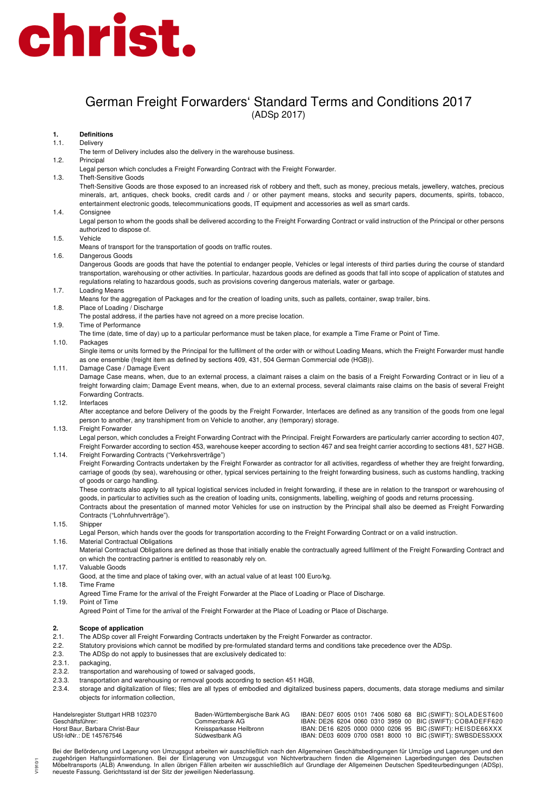

## German Freight Forwarders' Standard Terms and Conditions 2017 (ADSp 2017)

## **1. Definitions**

#### 1.1. Delivery

- The term of Delivery includes also the delivery in the warehouse business.
- 1.2. Principal
- Legal person which concludes a Freight Forwarding Contract with the Freight Forwarder.
- 1.3. Theft-Sensitive Goods

Theft-Sensitive Goods are those exposed to an increased risk of robbery and theft, such as money, precious metals, jewellery, watches, precious minerals, art, antiques, check books, credit cards and / or other payment means, stocks and security papers, documents, spirits, tobacco, entertainment electronic goods, telecommunications goods, IT equipment and accessories as well as smart cards.

#### 1.4. Consignee

Legal person to whom the goods shall be delivered according to the Freight Forwarding Contract or valid instruction of the Principal or other persons authorized to dispose of.

#### 1.5. Vehicle

- Means of transport for the transportation of goods on traffic routes.
- 1.6. Dangerous Goods

Dangerous Goods are goods that have the potential to endanger people, Vehicles or legal interests of third parties during the course of standard transportation, warehousing or other activities. In particular, hazardous goods are defined as goods that fall into scope of application of statutes and regulations relating to hazardous goods, such as provisions covering dangerous materials, water or garbage.

1.7. Loading Means

Means for the aggregation of Packages and for the creation of loading units, such as pallets, container, swap trailer, bins.

1.8. Place of Loading / Discharge

The postal address, if the parties have not agreed on a more precise location.

- 1.9. Time of Performance
- The time (date, time of day) up to a particular performance must be taken place, for example a Time Frame or Point of Time.

### 1.10. Packages

Single items or units formed by the Principal for the fulfilment of the order with or without Loading Means, which the Freight Forwarder must handle as one ensemble (freight item as defined by sections 409, 431, 504 German Commercial ode (HGB)).

#### 1.11. Damage Case / Damage Event

Damage Case means, when, due to an external process, a claimant raises a claim on the basis of a Freight Forwarding Contract or in lieu of a freight forwarding claim; Damage Event means, when, due to an external process, several claimants raise claims on the basis of several Freight Forwarding Contracts.

#### 1.12. Interfaces

After acceptance and before Delivery of the goods by the Freight Forwarder, Interfaces are defined as any transition of the goods from one legal person to another, any transhipment from on Vehicle to another, any (temporary) storage.

#### 1.13 Freight Forwarder

Legal person, which concludes a Freight Forwarding Contract with the Principal. Freight Forwarders are particularly carrier according to section 407, Freight Forwarder according to section 453, warehouse keeper according to section 467 and sea freight carrier according to sections 481, 527 HGB. 1.14. Freight Forwarding Contracts ("Verkehrsverträge")

Freight Forwarding Contracts undertaken by the Freight Forwarder as contractor for all activities, regardless of whether they are freight forwarding, carriage of goods (by sea), warehousing or other, typical services pertaining to the freight forwarding business, such as customs handling, tracking of goods or cargo handling.

These contracts also apply to all typical logistical services included in freight forwarding, if these are in relation to the transport or warehousing of goods, in particular to activities such as the creation of loading units, consignments, labelling, weighing of goods and returns processing.

Contracts about the presentation of manned motor Vehicles for use on instruction by the Principal shall also be deemed as Freight Forwarding Contracts ("Lohnfuhrverträge").

1.15. Shipper

Legal Person, which hands over the goods for transportation according to the Freight Forwarding Contract or on a valid instruction.

### 1.16. Material Contractual Obligations

Material Contractual Obligations are defined as those that initially enable the contractually agreed fulfilment of the Freight Forwarding Contract and on which the contracting partner is entitled to reasonably rely on.

1.17. Valuable Goods

Good, at the time and place of taking over, with an actual value of at least 100 Euro/kg.

## 1.18. Time Frame

Agreed Time Frame for the arrival of the Freight Forwarder at the Place of Loading or Place of Discharge.

1.19. Point of Time

Agreed Point of Time for the arrival of the Freight Forwarder at the Place of Loading or Place of Discharge.

## **2. Scope of application**

- 2.1. The ADSp cover all Freight Forwarding Contracts undertaken by the Freight Forwarder as contractor.
- 2.2. Statutory provisions which cannot be modified by pre-formulated standard terms and conditions take precedence over the ADSp.
- 2.3. The ADSp do not apply to businesses that are exclusively dedicated to:
- 2.3.1. packaging,

V1910/1

- 2.3.2. transportation and warehousing of towed or salvaged goods,
- 2.3.3. transportation and warehousing or removal goods according to section 451 HGB,
- 2.3.4. storage and digitalization of files; files are all types of embodied and digitalized business papers, documents, data storage mediums and similar objects for information collection,

| Handelsregister Stuttgart HRB 102370 | Baden-Württembergische Bank AG | IBAN: DE07 6005 0101 7406 5080 68 BIC (SWIFT): SOLADEST600 |  |
|--------------------------------------|--------------------------------|------------------------------------------------------------|--|
| Geschäftsführer:                     | Commerzbank AG.                | IBAN: DE26 6204 0060 0310 3959 00 BIC (SWIFT): COBADEFF620 |  |
| Horst Baur, Barbara Christ-Baur      | Kreissparkasse Heilbronn       | IBAN: DE16 6205 0000 0000 0206 95 BIC (SWIFT): HEISDE66XXX |  |
| USt-IdNr.: DE 145767546              | Südwestbank AG                 | IBAN: DE03 6009 0700 0581 8000 10 BIC (SWIFT): SWBSDESSXXX |  |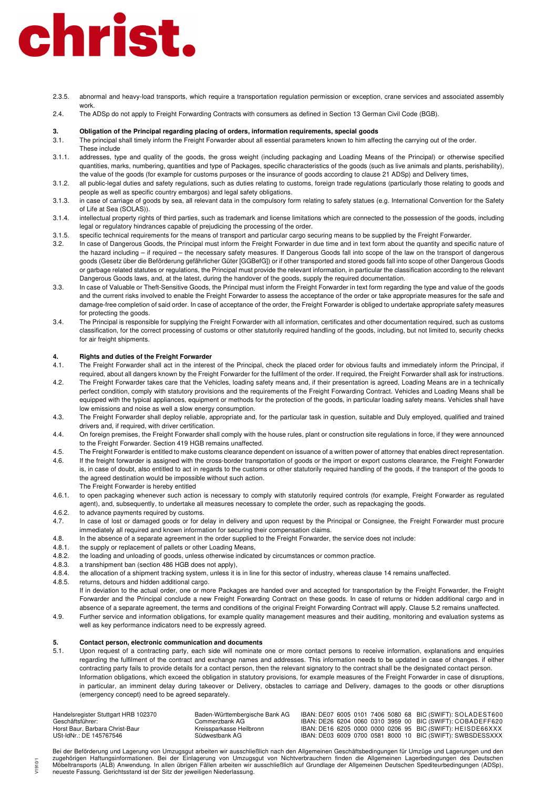- 2.3.5. abnormal and heavy-load transports, which require a transportation regulation permission or exception, crane services and associated assembly work.
- 2.4. The ADSp do not apply to Freight Forwarding Contracts with consumers as defined in Section 13 German Civil Code (BGB).

#### **3. Obligation of the Principal regarding placing of orders, information requirements, special goods**

3.1. The principal shall timely inform the Freight Forwarder about all essential parameters known to him affecting the carrying out of the order.

- These include 3.1.1. addresses, type and quality of the goods, the gross weight (including packaging and Loading Means of the Principal) or otherwise specified quantities, marks, numbering, quantities and type of Packages, specific characteristics of the goods (such as live animals and plants, perishability), the value of the goods (for example for customs purposes or the insurance of goods according to clause 21 ADSp) and Delivery times,
- 3.1.2. all public-legal duties and safety regulations, such as duties relating to customs, foreign trade regulations (particularly those relating to goods and people as well as specific country embargos) and legal safety obligations.
- 3.1.3. in case of carriage of goods by sea, all relevant data in the compulsory form relating to safety statues (e.g. International Convention for the Safety of Life at Sea (SOLAS)).
- 3.1.4. intellectual property rights of third parties, such as trademark and license limitations which are connected to the possession of the goods, including legal or regulatory hindrances capable of prejudicing the processing of the order.
- 3.1.5. specific technical requirements for the means of transport and particular cargo securing means to be supplied by the Freight Forwarder.
- 3.2. In case of Dangerous Goods, the Principal must inform the Freight Forwarder in due time and in text form about the quantity and specific nature of the hazard including – if required – the necessary safety measures. If Dangerous Goods fall into scope of the law on the transport of dangerous goods (Gesetz über die Beförderung gefährlicher Güter [GGBefG]) or if other transported and stored goods fall into scope of other Dangerous Goods or garbage related statutes or regulations, the Principal must provide the relevant information, in particular the classification according to the relevant Dangerous Goods laws, and, at the latest, during the handover of the goods, supply the required documentation.
- 3.3. In case of Valuable or Theft-Sensitive Goods, the Principal must inform the Freight Forwarder in text form regarding the type and value of the goods and the current risks involved to enable the Freight Forwarder to assess the acceptance of the order or take appropriate measures for the safe and damage-free completion of said order. In case of acceptance of the order, the Freight Forwarder is obliged to undertake appropriate safety measures for protecting the goods.
- 3.4. The Principal is responsible for supplying the Freight Forwarder with all information, certificates and other documentation required, such as customs classification, for the correct processing of customs or other statutorily required handling of the goods, including, but not limited to, security checks for air freight shipments.

#### **4. Rights and duties of the Freight Forwarder**

- 4.1. The Freight Forwarder shall act in the interest of the Principal, check the placed order for obvious faults and immediately inform the Principal, if required, about all dangers known by the Freight Forwarder for the fulfilment of the order. If required, the Freight Forwarder shall ask for instructions.
- 4.2. The Freight Forwarder takes care that the Vehicles, loading safety means and, if their presentation is agreed, Loading Means are in a technically perfect condition, comply with statutory provisions and the requirements of the Freight Forwarding Contract. Vehicles and Loading Means shall be equipped with the typical appliances, equipment or methods for the protection of the goods, in particular loading safety means. Vehicles shall have low emissions and noise as well a slow energy consumption.
- 4.3. The Freight Forwarder shall deploy reliable, appropriate and, for the particular task in question, suitable and Duly employed, qualified and trained drivers and, if required, with driver certification.
- 4.4. On foreign premises, the Freight Forwarder shall comply with the house rules, plant or construction site regulations in force, if they were announced to the Freight Forwarder. Section 419 HGB remains unaffected.
- 4.5. The Freight Forwarder is entitled to make customs clearance dependent on issuance of a written power of attorney that enables direct representation.
- 4.6. If the freight forwarder is assigned with the cross-border transportation of goods or the import or export customs clearance, the Freight Forwarder is, in case of doubt, also entitled to act in regards to the customs or other statutorily required handling of the goods, if the transport of the goods to the agreed destination would be impossible without such action. The Freight Forwarder is hereby entitled
- 4.6.1. to open packaging whenever such action is necessary to comply with statutorily required controls (for example, Freight Forwarder as regulated agent), and, subsequently, to undertake all measures necessary to complete the order, such as repackaging the goods.
- 4.6.2. to advance payments required by customs.

V1910/1

- 4.7. In case of lost or damaged goods or for delay in delivery and upon request by the Principal or Consignee, the Freight Forwarder must procure immediately all required and known information for securing their compensation claims.
- 4.8. In the absence of a separate agreement in the order supplied to the Freight Forwarder, the service does not include:<br>4.8.1. the supply or replacement of pallets or other Loading Means,
- the supply or replacement of pallets or other Loading Means,
- 4.8.2. the loading and unloading of goods, unless otherwise indicated by circumstances or common practice.
- 4.8.3. a transhipment ban (section 486 HGB does not apply),
- 4.8.4. the allocation of a shipment tracking system, unless it is in line for this sector of industry, whereas clause 14 remains unaffected.
- 4.8.5. returns, detours and hidden additional cargo.
- If in deviation to the actual order, one or more Packages are handed over and accepted for transportation by the Freight Forwarder, the Freight Forwarder and the Principal conclude a new Freight Forwarding Contract on these goods. In case of returns or hidden additional cargo and in absence of a separate agreement, the terms and conditions of the original Freight Forwarding Contract will apply. Clause 5.2 remains unaffected.
- 4.9. Further service and information obligations, for example quality management measures and their auditing, monitoring and evaluation systems as well as key performance indicators need to be expressly agreed.

## **5. Contact person, electronic communication and documents**<br>**5.1 Linon request of a contracting party** each side will nominate

Upon request of a contracting party, each side will nominate one or more contact persons to receive information, explanations and enquiries regarding the fulfilment of the contract and exchange names and addresses. This information needs to be updated in case of changes. if either contracting party fails to provide details for a contact person, then the relevant signatory to the contract shall be the designated contact person. Information obligations, which exceed the obligation in statutory provisions, for example measures of the Freight Forwarder in case of disruptions, in particular, an imminent delay during takeover or Delivery, obstacles to carriage and Delivery, damages to the goods or other disruptions (emergency concept) need to be agreed separately.

| Handelsregister Stuttgart HRB 102370 | Baden-Württembergische Bank AG |  |  |  | IBAN: DE07 6005 0101 7406 5080 68 BIC (SWIFT): SOLADEST600 |
|--------------------------------------|--------------------------------|--|--|--|------------------------------------------------------------|
| Geschäftsführer:                     | Commerzbank AG.                |  |  |  | IBAN: DE26 6204 0060 0310 3959 00 BIC (SWIFT): COBADEFF620 |
| Horst Baur, Barbara Christ-Baur      | Kreissparkasse Heilbronn       |  |  |  | IBAN: DE16 6205 0000 0000 0206 95 BIC (SWIFT): HEISDE66XXX |
| USt-IdNr.: DE 145767546              | Südwestbank AG                 |  |  |  | IBAN: DE03 6009 0700 0581 8000 10 BIC (SWIFT): SWBSDESSXXX |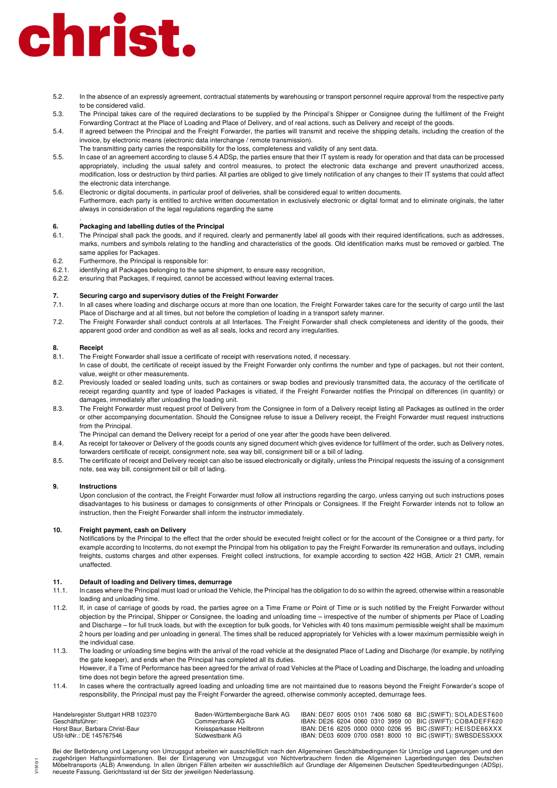- 5.2. In the absence of an expressly agreement, contractual statements by warehousing or transport personnel require approval from the respective party to be considered valid.
- 5.3. The Principal takes care of the required declarations to be supplied by the Principal's Shipper or Consignee during the fulfilment of the Freight Forwarding Contract at the Place of Loading and Place of Delivery, and of real actions, such as Delivery and receipt of the goods.
- 5.4. If agreed between the Principal and the Freight Forwarder, the parties will transmit and receive the shipping details, including the creation of the invoice, by electronic means (electronic data interchange / remote transmission).
- The transmitting party carries the responsibility for the loss, completeness and validity of any sent data. 5.5. In case of an agreement according to clause 5.4 ADSp, the parties ensure that their IT system is ready for operation and that data can be processed appropriately, including the usual safety and control measures, to protect the electronic data exchange and prevent unauthorized access, modification, loss or destruction by third parties. All parties are obliged to give timely notification of any changes to their IT systems that could affect the electronic data interchange.
- 5.6. Electronic or digital documents, in particular proof of deliveries, shall be considered equal to written documents. Furthermore, each party is entitled to archive written documentation in exclusively electronic or digital format and to eliminate originals, the latter always in consideration of the legal regulations regarding the same

#### . **6. Packaging and labelling duties of the Principal**

- 6.1. The Principal shall pack the goods, and if required, clearly and permanently label all goods with their required identifications, such as addresses, marks, numbers and symbols relating to the handling and characteristics of the goods. Old identification marks must be removed or garbled. The same applies for Packages.
- 6.2. Furthermore, the Principal is responsible for:
- 6.2.1. identifying all Packages belonging to the same shipment, to ensure easy recognition,
- 6.2.2. ensuring that Packages, if required, cannot be accessed without leaving external traces.

# **7. Securing cargo and supervisory duties of the Freight Forwarder <br>
<b>7.1** In all cases where loading and discharge occurs at more than one lo

- In all cases where loading and discharge occurs at more than one location, the Freight Forwarder takes care for the security of cargo until the last Place of Discharge and at all times, but not before the completion of loading in a transport safety manner.
- 7.2. The Freight Forwarder shall conduct controls at all Interfaces. The Freight Forwarder shall check completeness and identity of the goods, their apparent good order and condition as well as all seals, locks and record any irregularities.

#### **8. Receipt**

- 8.1. The Freight Forwarder shall issue a certificate of receipt with reservations noted, if necessary.
- In case of doubt, the certificate of receipt issued by the Freight Forwarder only confirms the number and type of packages, but not their content, value, weight or other measurements.
- 8.2. Previously loaded or sealed loading units, such as containers or swap bodies and previously transmitted data, the accuracy of the certificate of receipt regarding quantity and type of loaded Packages is vitiated, if the Freight Forwarder notifies the Principal on differences (in quantity) or damages, immediately after unloading the loading unit.
- 8.3. The Freight Forwarder must request proof of Delivery from the Consignee in form of a Delivery receipt listing all Packages as outlined in the order or other accompanying documentation. Should the Consignee refuse to issue a Delivery receipt, the Freight Forwarder must request instructions from the Principal.

The Principal can demand the Delivery receipt for a period of one year after the goods have been delivered.

- 8.4. As receipt for takeover or Delivery of the goods counts any signed document which gives evidence for fulfilment of the order, such as Delivery notes, forwarders certificate of receipt, consignment note, sea way bill, consignment bill or a bill of lading.
- 8.5. The certificate of receipt and Delivery receipt can also be issued electronically or digitally, unless the Principal requests the issuing of a consignment note, sea way bill, consignment bill or bill of lading.

#### **9. Instructions**

 $V1910'$ 

Upon conclusion of the contract, the Freight Forwarder must follow all instructions regarding the cargo, unless carrying out such instructions poses disadvantages to his business or damages to consignments of other Principals or Consignees. If the Freight Forwarder intends not to follow an instruction, then the Freight Forwarder shall inform the instructor immediately.

#### **10. Freight payment, cash on Delivery**

Notifications by the Principal to the effect that the order should be executed freight collect or for the account of the Consignee or a third party, for example according to Incoterms, do not exempt the Principal from his obligation to pay the Freight Forwarder its remuneration and outlays, including freights, customs charges and other expenses. Freight collect instructions, for example according to section 422 HGB, Articlr 21 CMR, remain unaffected.

### **11. Default of loading and Delivery times, demurrage**

- 11.1. In cases where the Principal must load or unload the Vehicle, the Principal has the obligation to do so within the agreed, otherwise within a reasonable loading and unloading time.
- 11.2. If, in case of carriage of goods by road, the parties agree on a Time Frame or Point of Time or is such notified by the Freight Forwarder without objection by the Principal, Shipper or Consignee, the loading and unloading time – irrespective of the number of shipments per Place of Loading and Discharge – for full truck loads, but with the exception for bulk goods, for Vehicles with 40 tons maximum permissible weight shall be maximum 2 hours per loading and per unloading in general. The times shall be reduced appropriately for Vehicles with a lower maximum permissible weigh in the individual case.
- 11.3. The loading or unloading time begins with the arrival of the road vehicle at the designated Place of Lading and Discharge (for example, by notifying the gate keeper), and ends when the Principal has completed all its duties.
- However, if a Time of Performance has been agreed for the arrival of road Vehicles at the Place of Loading and Discharge, the loading and unloading time does not begin before the agreed presentation time.
- 11.4. In cases where the contractually agreed loading and unloading time are not maintained due to reasons beyond the Freight Forwarder's scope of responsibility, the Principal must pay the Freight Forwarder the agreed, otherwise commonly accepted, demurrage fees.

| Handelsregister Stuttgart HRB 102370 | Baden-Württembergische Bank AG |  |  |  | IBAN: DE07 6005 0101 7406 5080 68 BIC (SWIFT): SOLADEST600 |
|--------------------------------------|--------------------------------|--|--|--|------------------------------------------------------------|
| Geschäftsführer:                     | Commerzbank AG.                |  |  |  | IBAN: DE26 6204 0060 0310 3959 00 BIC (SWIFT): COBADEFF620 |
| Horst Baur, Barbara Christ-Baur      | Kreissparkasse Heilbronn       |  |  |  | IBAN: DE16 6205 0000 0000 0206 95 BIC (SWIFT): HEISDE66XXX |
| USt-IdNr.: DE 145767546              | Südwestbank AG                 |  |  |  | IBAN: DE03 6009 0700 0581 8000 10 BIC (SWIFT): SWBSDESSXXX |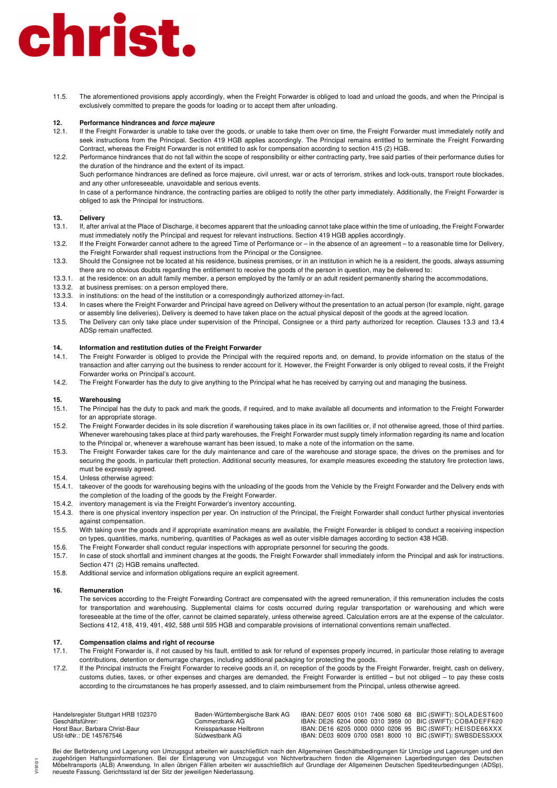11.5. The aforementioned provisions apply accordingly, when the Freight Forwarder is obliged to load and unload the goods, and when the Principal is exclusively committed to prepare the goods for loading or to accept them after unloading.

#### **12. Performance hindrances and force majeure**

- 12.1. If the Freight Forwarder is unable to take over the goods, or unable to take them over on time, the Freight Forwarder must immediately notify and seek instructions from the Principal. Section 419 HGB applies accordingly. The Principal remains entitled to terminate the Freight Forwarding Contract, whereas the Freight Forwarder is not entitled to ask for compensation according to section 415 (2) HGB.
- 12.2. Performance hindrances that do not fall within the scope of responsibility or either contracting party, free said parties of their performance duties for the duration of the hindrance and the extent of its impact.

Such performance hindrances are defined as force majeure, civil unrest, war or acts of terrorism, strikes and lock-outs, transport route blockades, and any other unforeseeable, unavoidable and serious events.

In case of a performance hindrance, the contracting parties are obliged to notify the other party immediately. Additionally, the Freight Forwarder is obliged to ask the Principal for instructions.

#### . **13. Delivery**

- 13.1. If, after arrival at the Place of Discharge, it becomes apparent that the unloading cannot take place within the time of unloading, the Freight Forwarder must immediately notify the Principal and request for relevant instructions. Section 419 HGB applies accordingly.
- 13.2. If the Freight Forwarder cannot adhere to the agreed Time of Performance or in the absence of an agreement to a reasonable time for Delivery, the Freight Forwarder shall request instructions from the Principal or the Consignee.
- 13.3. Should the Consignee not be located at his residence, business premises, or in an institution in which he is a resident, the goods, always assuming there are no obvious doubts regarding the entitlement to receive the goods of the person in question, may be delivered to:
- 13.3.1. at the residence: on an adult family member, a person employed by the family or an adult resident permanently sharing the accommodations,
- 13.3.2. at business premises: on a person employed there,
- 13.3.3. in institutions: on the head of the institution or a correspondingly authorized attorney-in-fact.
- 13.4. In cases where the Freight Forwarder and Principal have agreed on Delivery without the presentation to an actual person (for example, night, garage or assembly line deliveries), Delivery is deemed to have taken place on the actual physical deposit of the goods at the agreed location.
- 13.5. The Delivery can only take place under supervision of the Principal, Consignee or a third party authorized for reception. Clauses 13.3 and 13.4 ADSp remain unaffected.

#### **14. Information and restitution duties of the Freight Forwarder**

- 14.1. The Freight Forwarder is obliged to provide the Principal with the required reports and, on demand, to provide information on the status of the transaction and after carrying out the business to render account for it. However, the Freight Forwarder is only obliged to reveal costs, if the Freight Forwarder works on Principal's account.
- 14.2. The Freight Forwarder has the duty to give anything to the Principal what he has received by carrying out and managing the business.

#### **15. Warehousing**

- 15.1. The Principal has the duty to pack and mark the goods, if required, and to make available all documents and information to the Freight Forwarder for an appropriate storage.
- 15.2. The Freight Forwarder decides in its sole discretion if warehousing takes place in its own facilities or, if not otherwise agreed, those of third parties. Whenever warehousing takes place at third party warehouses, the Freight Forwarder must supply timely information regarding its name and location to the Principal or, whenever a warehouse warrant has been issued, to make a note of the information on the same.
- 15.3. The Freight Forwarder takes care for the duly maintenance and care of the warehouse and storage space, the drives on the premises and for securing the goods, in particular theft protection. Additional security measures, for example measures exceeding the statutory fire protection laws, must be expressly agreed.
- 15.4. Unless otherwise agreed:
- 15.4.1. takeover of the goods for warehousing begins with the unloading of the goods from the Vehicle by the Freight Forwarder and the Delivery ends with the completion of the loading of the goods by the Freight Forwarder.
- 15.4.2. inventory management is via the Freight Forwarder's inventory accounting.
- 15.4.3. there is one physical inventory inspection per year. On instruction of the Principal, the Freight Forwarder shall conduct further physical inventories against compensation.
- 15.5. With taking over the goods and if appropriate examination means are available, the Freight Forwarder is obliged to conduct a receiving inspection on types, quantities, marks, numbering, quantities of Packages as well as outer visible damages according to section 438 HGB.
- 15.6. The Freight Forwarder shall conduct regular inspections with appropriate personnel for securing the goods.
- 15.7. In case of stock shortfall and imminent changes at the goods, the Freight Forwarder shall immediately inform the Principal and ask for instructions. Section 471 (2) HGB remains unaffected.
- 15.8. Additional service and information obligations require an explicit agreement.

#### **16. Remuneration**

V1910/1

The services according to the Freight Forwarding Contract are compensated with the agreed remuneration, if this remuneration includes the costs for transportation and warehousing. Supplemental claims for costs occurred during regular transportation or warehousing and which were foreseeable at the time of the offer, cannot be claimed separately, unless otherwise agreed. Calculation errors are at the expense of the calculator. Sections 412, 418, 419, 491, 492, 588 until 595 HGB and comparable provisions of international conventions remain unaffected.

## **17. Compensation claims and right of recourse**

- The Freight Forwarder is, if not caused by his fault, entitled to ask for refund of expenses properly incurred, in particular those relating to average contributions, detention or demurrage charges, including additional packaging for protecting the goods.
- 17.2. If the Principal instructs the Freight Forwarder to receive goods an if, on reception of the goods by the Freight Forwarder, freight, cash on delivery, customs duties, taxes, or other expenses and charges are demanded, the Freight Forwarder is entitled – but not obliged – to pay these costs according to the circumstances he has properly assessed, and to claim reimbursement from the Principal, unless otherwise agreed.

| Handelsregister Stuttgart HRB 102370 | Baden-Württembergische Bank AG |  |  |  | IBAN: DE07 6005 0101 7406 5080 68 BIC (SWIFT): SOLADEST600 |
|--------------------------------------|--------------------------------|--|--|--|------------------------------------------------------------|
| Geschäftsführer:                     | Commerzbank AG.                |  |  |  | IBAN: DE26 6204 0060 0310 3959 00 BIC (SWIFT): COBADEFF620 |
| Horst Baur, Barbara Christ-Baur      | Kreissparkasse Heilbronn       |  |  |  | IBAN: DE16 6205 0000 0000 0206 95 BIC (SWIFT): HEISDE66XXX |
| USt-IdNr.: DE 145767546              | Südwestbank AG                 |  |  |  | IBAN: DE03 6009 0700 0581 8000 10 BIC (SWIFT): SWBSDESSXXX |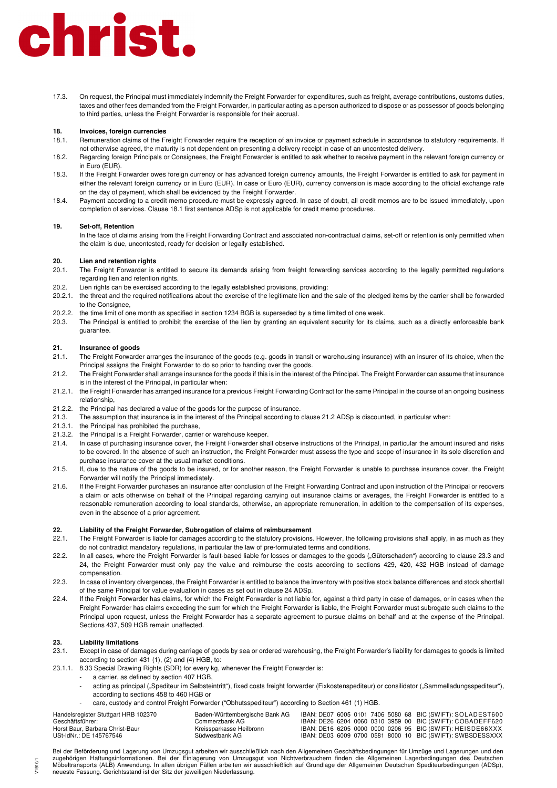17.3. On request, the Principal must immediately indemnify the Freight Forwarder for expenditures, such as freight, average contributions, customs duties, taxes and other fees demanded from the Freight Forwarder, in particular acting as a person authorized to dispose or as possessor of goods belonging to third parties, unless the Freight Forwarder is responsible for their accrual.

### **18. Invoices, foreign currencies**

- 18.1. Remuneration claims of the Freight Forwarder require the reception of an invoice or payment schedule in accordance to statutory requirements. If not otherwise agreed, the maturity is not dependent on presenting a delivery receipt in case of an uncontested delivery.
- 18.2. Regarding foreign Principals or Consignees, the Freight Forwarder is entitled to ask whether to receive payment in the relevant foreign currency or in Euro (EUR).
- 18.3. If the Freight Forwarder owes foreign currency or has advanced foreign currency amounts, the Freight Forwarder is entitled to ask for payment in either the relevant foreign currency or in Euro (EUR). In case or Euro (EUR), currency conversion is made according to the official exchange rate on the day of payment, which shall be evidenced by the Freight Forwarder.
- 18.4. Payment according to a credit memo procedure must be expressly agreed. In case of doubt, all credit memos are to be issued immediately, upon completion of services. Clause 18.1 first sentence ADSp is not applicable for credit memo procedures.

#### **19. Set-off, Retention**

In the face of claims arising from the Freight Forwarding Contract and associated non-contractual claims, set-off or retention is only permitted when the claim is due, uncontested, ready for decision or legally established.

#### **20. Lien and retention rights**

- 20.1. The Freight Forwarder is entitled to secure its demands arising from freight forwarding services according to the legally permitted regulations regarding lien and retention rights.
- 20.2. Lien rights can be exercised according to the legally established provisions, providing:
- 20.2.1. the threat and the required notifications about the exercise of the legitimate lien and the sale of the pledged items by the carrier shall be forwarded to the Consignee
- 20.2.2. the time limit of one month as specified in section 1234 BGB is superseded by a time limited of one week.
- 20.3. The Principal is entitled to prohibit the exercise of the lien by granting an equivalent security for its claims, such as a directly enforceable bank guarantee.

#### **21. Insurance of goods**

- 21.1. The Freight Forwarder arranges the insurance of the goods (e.g. goods in transit or warehousing insurance) with an insurer of its choice, when the Principal assigns the Freight Forwarder to do so prior to handing over the goods.
- 21.2. The Freight Forwarder shall arrange insurance for the goods if this is in the interest of the Principal. The Freight Forwarder can assume that insurance is in the interest of the Principal, in particular when:
- 21.2.1. the Freight Forwarder has arranged insurance for a previous Freight Forwarding Contract for the same Principal in the course of an ongoing business relationship,
- 21.2.2. the Principal has declared a value of the goods for the purpose of insurance.
- 21.3. The assumption that insurance is in the interest of the Principal according to clause 21.2 ADSp is discounted, in particular when:
- 21.3.1. the Principal has prohibited the purchase,
- 21.3.2. the Principal is a Freight Forwarder, carrier or warehouse keeper.
- 21.4. In case of purchasing insurance cover, the Freight Forwarder shall observe instructions of the Principal, in particular the amount insured and risks to be covered. In the absence of such an instruction, the Freight Forwarder must assess the type and scope of insurance in its sole discretion and purchase insurance cover at the usual market conditions.
- 21.5. If, due to the nature of the goods to be insured, or for another reason, the Freight Forwarder is unable to purchase insurance cover, the Freight Forwarder will notify the Principal immediately.
- 21.6. If the Freight Forwarder purchases an insurance after conclusion of the Freight Forwarding Contract and upon instruction of the Principal or recovers a claim or acts otherwise on behalf of the Principal regarding carrying out insurance claims or averages, the Freight Forwarder is entitled to a reasonable remuneration according to local standards, otherwise, an appropriate remuneration, in addition to the compensation of its expenses, even in the absence of a prior agreement.

### **22. Liability of the Freight Forwarder, Subrogation of claims of reimbursement**

- 22.1. The Freight Forwarder is liable for damages according to the statutory provisions. However, the following provisions shall apply, in as much as they do not contradict mandatory regulations, in particular the law of pre-formulated terms and conditions.
- 22.2. In all cases, where the Freight Forwarder is fault-based liable for losses or damages to the goods ("Güterschaden") according to clause 23.3 and 24, the Freight Forwarder must only pay the value and reimburse the costs according to sections 429, 420, 432 HGB instead of damage compensation.
- 22.3. In case of inventory divergences, the Freight Forwarder is entitled to balance the inventory with positive stock balance differences and stock shortfall of the same Principal for value evaluation in cases as set out in clause 24 ADSp.
- 22.4. If the Freight Forwarder has claims, for which the Freight Forwarder is not liable for, against a third party in case of damages, or in cases when the Freight Forwarder has claims exceeding the sum for which the Freight Forwarder is liable, the Freight Forwarder must subrogate such claims to the Principal upon request, unless the Freight Forwarder has a separate agreement to pursue claims on behalf and at the expense of the Principal. Sections 437, 509 HGB remain unaffected.

## **23. Liability limitations**

V1910/1

- Except in case of damages during carriage of goods by sea or ordered warehousing, the Freight Forwarder's liability for damages to goods is limited according to section 431 (1), (2) and (4) HGB, to:
- 23.1.1. 8.33 Special Drawing Rights (SDR) for every kg, whenever the Freight Forwarder is:
	- a carrier, as defined by section 407 HGB,
	- acting as principal ("Spediteur im Selbsteintritt"), fixed costs freight forwarder (Fixkostenspediteur) or consilidator ("Sammelladungsspediteur"), according to sections 458 to 460 HGB or
	- care, custody and control Freight Forwarder ("Obhutsspediteur") according to Section 461 (1) HGB.

| Handelsregister Stuttgart HRB 102370 | Baden-Württembergische Bank AG |  |  |  | IBAN: DE07 6005 0101 7406 5080 68 BIC (SWIFT): SOLADEST600 |
|--------------------------------------|--------------------------------|--|--|--|------------------------------------------------------------|
| Geschäftsführer:                     | Commerzbank AG-                |  |  |  | IBAN: DE26 6204 0060 0310 3959 00 BIC (SWIFT): COBADEFF620 |
| Horst Baur. Barbara Christ-Baur      | Kreissparkasse Heilbronn       |  |  |  | IBAN: DE16 6205 0000 0000 0206 95 BIC (SWIFT): HEISDE66XXX |
| USt-IdNr.: DE 145767546              | Südwestbank AG                 |  |  |  | IBAN: DE03 6009 0700 0581 8000 10 BIC (SWIFT): SWBSDESSXXX |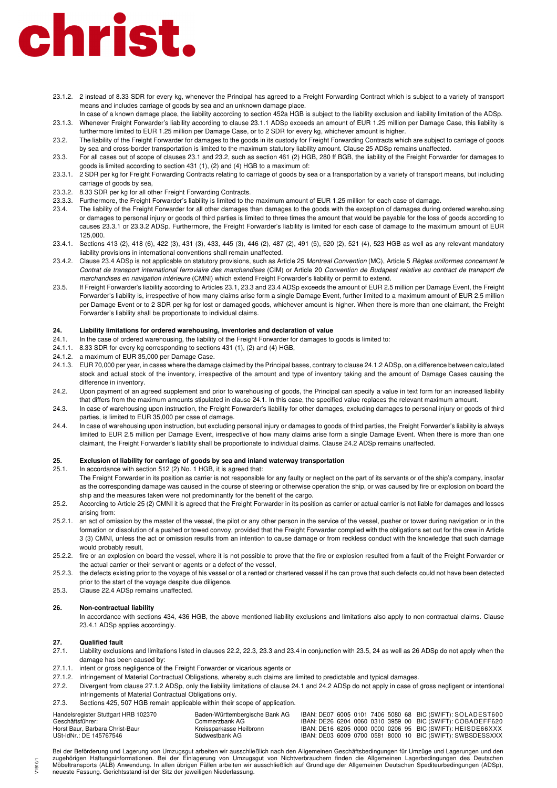- 23.1.2. 2 instead of 8.33 SDR for every kg, whenever the Principal has agreed to a Freight Forwarding Contract which is subject to a variety of transport means and includes carriage of goods by sea and an unknown damage place.
- In case of a known damage place, the liability according to section 452a HGB is subject to the liability exclusion and liability limitation of the ADSp. 23.1.3. Whenever Freight Forwarder's liability according to clause 23.1.1 ADSp exceeds an amount of EUR 1.25 million per Damage Case, this liability is furthermore limited to EUR 1.25 million per Damage Case, or to 2 SDR for every kg, whichever amount is higher.
- 23.2. The liability of the Freight Forwarder for damages to the goods in its custody for Freight Forwarding Contracts which are subject to carriage of goods by sea and cross-border transportation is limited to the maximum statutory liability amount. Clause 25 ADSp remains unaffected.
- 23.3. For all cases out of scope of clauses 23.1 and 23.2, such as section 461 (2) HGB, 280 ff BGB, the liability of the Freight Forwarder for damages to goods is limited according to section 431 (1), (2) and (4) HGB to a maximum of:
- 23.3.1. 2 SDR per kg for Freight Forwarding Contracts relating to carriage of goods by sea or a transportation by a variety of transport means, but including carriage of goods by sea,
- 23.3.2. 8.33 SDR per kg for all other Freight Forwarding Contracts.
- 23.3.3. Furthermore, the Freight Forwarder's liability is limited to the maximum amount of EUR 1.25 million for each case of damage.
- 23.4. The liability of the Freight Forwarder for all other damages than damages to the goods with the exception of damages during ordered warehousing or damages to personal injury or goods of third parties is limited to three times the amount that would be payable for the loss of goods according to causes 23.3.1 or 23.3.2 ADSp. Furthermore, the Freight Forwarder's liability is limited for each case of damage to the maximum amount of EUR 125,000.
- 23.4.1. Sections 413 (2), 418 (6), 422 (3), 431 (3), 433, 445 (3), 446 (2), 487 (2), 491 (5), 520 (2), 521 (4), 523 HGB as well as any relevant mandatory liability provisions in international conventions shall remain unaffected.
- 23.4.2. Clause 23.4 ADSp is not applicable on statutory provisions, such as Article 25 Montreal Convention (MC), Article 5 Règles uniformes concernant le Contrat de transport international ferroviaire des marchandises (CIM) or Article 20 Convention de Budapest relative au contract de transport de marchandises en navigation intérieure (CMNI) which extend Freight Forwarder's liability or permit to extend.
- 23.5. If Freight Forwarder's liability according to Articles 23.1, 23.3 and 23.4 ADSp exceeds the amount of EUR 2.5 million per Damage Event, the Freight Forwarder's liability is, irrespective of how many claims arise form a single Damage Event, further limited to a maximum amount of EUR 2.5 million per Damage Event or to 2 SDR per kg for lost or damaged goods, whichever amount is higher. When there is more than one claimant, the Freight Forwarder's liability shall be proportionate to individual claims.

### **24. Liability limitations for ordered warehousing, inventories and declaration of value**

- 24.1. In the case of ordered warehousing, the liability of the Freight Forwarder for damages to goods is limited to:
- 24.1.1. 8.33 SDR for every kg corresponding to sections 431 (1), (2) and (4) HGB,
- 24.1.2. a maximum of EUR 35,000 per Damage Case.
- 24.1.3. EUR 70,000 per year, in cases where the damage claimed by the Principal bases, contrary to clause 24.1.2 ADSp, on a difference between calculated stock and actual stock of the inventory, irrespective of the amount and type of inventory taking and the amount of Damage Cases causing the difference in inventory.
- 24.2. Upon payment of an agreed supplement and prior to warehousing of goods, the Principal can specify a value in text form for an increased liability that differs from the maximum amounts stipulated in clause 24.1. In this case, the specified value replaces the relevant maximum amount.
- 24.3. In case of warehousing upon instruction, the Freight Forwarder's liability for other damages, excluding damages to personal injury or goods of third parties, is limited to EUR 35,000 per case of damage.
- 24.4. In case of warehousing upon instruction, but excluding personal injury or damages to goods of third parties, the Freight Forwarder's liability is always limited to EUR 2.5 million per Damage Event, irrespective of how many claims arise form a single Damage Event. When there is more than one claimant, the Freight Forwarder's liability shall be proportionate to individual claims. Clause 24.2 ADSp remains unaffected.

#### **25. Exclusion of liability for carriage of goods by sea and inland waterway transportation**

- 25.1. In accordance with section 512 (2) No. 1 HGB, it is agreed that: The Freight Forwarder in its position as carrier is not responsible for any faulty or neglect on the part of its servants or of the ship's company, insofar as the corresponding damage was caused in the course of steering or otherwise operation the ship, or was caused by fire or explosion on board the ship and the measures taken were not predominantly for the benefit of the cargo.
- 25.2. According to Article 25 (2) CMNI it is agreed that the Freight Forwarder in its position as carrier or actual carrier is not liable for damages and losses arising from:
- 25.2.1. an act of omission by the master of the vessel, the pilot or any other person in the service of the vessel, pusher or tower during navigation or in the formation or dissolution of a pushed or towed convoy, provided that the Freight Forwarder complied with the obligations set out for the crew in Article 3 (3) CMNI, unless the act or omission results from an intention to cause damage or from reckless conduct with the knowledge that such damage would probably result,
- 25.2.2. fire or an explosion on board the vessel, where it is not possible to prove that the fire or explosion resulted from a fault of the Freight Forwarder or the actual carrier or their servant or agents or a defect of the vessel,
- 25.2.3. the defects existing prior to the voyage of his vessel or of a rented or chartered vessel if he can prove that such defects could not have been detected prior to the start of the voyage despite due diligence.
- 25.3. Clause 22.4 ADSp remains unaffected.

#### **26. Non-contractual liability**

In accordance with sections 434, 436 HGB, the above mentioned liability exclusions and limitations also apply to non-contractual claims. Clause 23.4.1 ADSp applies accordingly.

# **27. Qualified fault**

 $V1910'$ 

- Liability exclusions and limitations listed in clauses 22.2, 22.3, 23.3 and 23.4 in conjunction with 23.5, 24 as well as 26 ADSp do not apply when the damage has been caused by:
- 27.1.1. intent or gross negligence of the Freight Forwarder or vicarious agents or
- 27.1.2. infringement of Material Contractual Obligations, whereby such claims are limited to predictable and typical damages.
- 27.2. Divergent from clause 27.1.2 ADSp, only the liability limitations of clause 24.1 and 24.2 ADSp do not apply in case of gross negligent or intentional infringements of Material Contractual Obligations only.
- 27.3. Sections 425, 507 HGB remain applicable within their scope of application.

| Handelsregister Stuttgart HRB 102370 | Baden-Württembergische Bank AG |  |  | IBAN: DE07 6005 0101 7406 5080 68 BIC (SWIFT): SOLADEST600 |
|--------------------------------------|--------------------------------|--|--|------------------------------------------------------------|
| Geschäftsführer:                     | Commerzbank AG-                |  |  | IBAN: DE26 6204 0060 0310 3959 00 BIC (SWIFT): COBADEFF620 |
| Horst Baur, Barbara Christ-Baur      | Kreissparkasse Heilbronn       |  |  | IBAN: DE16 6205 0000 0000 0206 95 BIC (SWIFT): HEISDE66XXX |
| USt-IdNr.: DE 145767546              | Südwestbank AG                 |  |  | IBAN: DE03 6009 0700 0581 8000 10 BIC (SWIFT): SWBSDESSXXX |